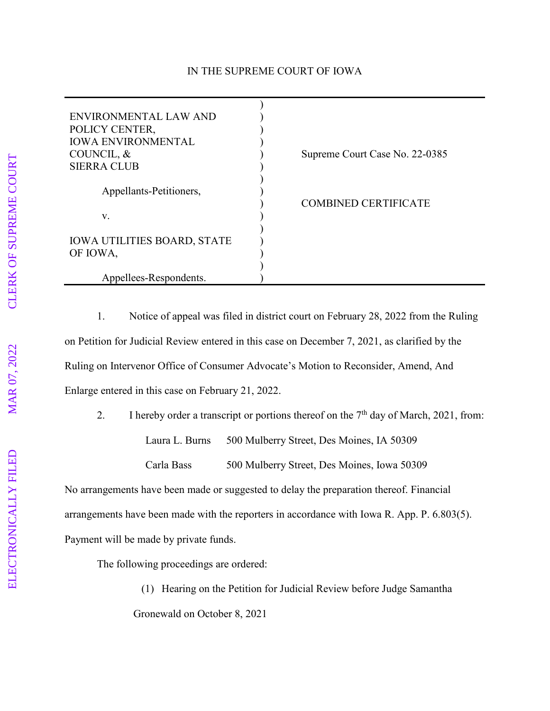## IN THE SUPREME COURT OF IOWA

| ENVIRONMENTAL LAW AND<br>POLICY CENTER,<br><b>IOWA ENVIRONMENTAL</b><br>COUNCIL, &<br><b>SIERRA CLUB</b> | Supreme Court Case No. 22-0385 |
|----------------------------------------------------------------------------------------------------------|--------------------------------|
| Appellants-Petitioners,                                                                                  | <b>COMBINED CERTIFICATE</b>    |
| V.                                                                                                       |                                |
| <b>IOWA UTILITIES BOARD, STATE</b><br>OF IOWA,                                                           |                                |
| Appellees-Respondents.                                                                                   |                                |

1. Notice of appeal was filed in district court on February 28, 2022 from the Ruling on Petition for Judicial Review entered in this case on December 7, 2021, as clarified by the Ruling on Intervenor Office of Consumer Advocate's Motion to Reconsider, Amend, And Enlarge entered in this case on February 21, 2022.

2. I hereby order a transcript or portions thereof on the 7<sup>th</sup> day of March, 2021, from: Laura L. Burns 500 Mulberry Street, Des Moines, IA 50309 Carla Bass 500 Mulberry Street, Des Moines, Iowa 50309

No arrangements have been made or suggested to delay the preparation thereof. Financial arrangements have been made with the reporters in accordance with Iowa R. App. P. 6.803(5). Payment will be made by private funds.

The following proceedings are ordered:

(1) Hearing on the Petition for Judicial Review before Judge Samantha Gronewald on October 8, 2021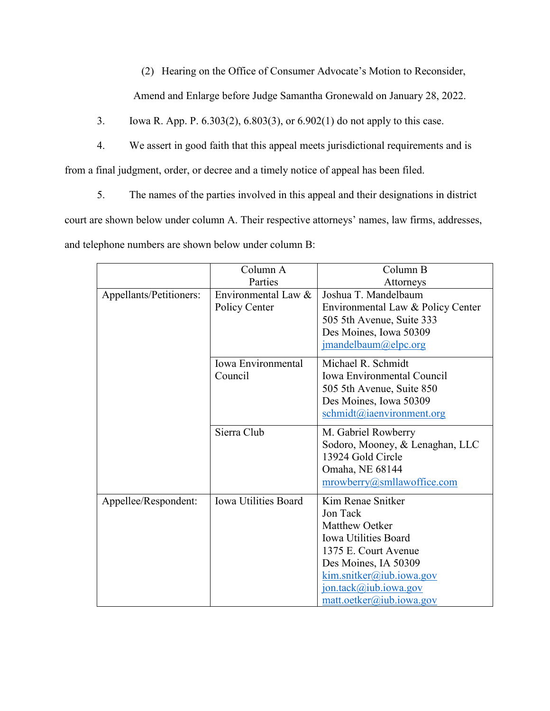(2) Hearing on the Office of Consumer Advocate's Motion to Reconsider,

Amend and Enlarge before Judge Samantha Gronewald on January 28, 2022.

3. Iowa R. App. P. 6.303(2), 6.803(3), or 6.902(1) do not apply to this case.

4. We assert in good faith that this appeal meets jurisdictional requirements and is from a final judgment, order, or decree and a timely notice of appeal has been filed.

5. The names of the parties involved in this appeal and their designations in district court are shown below under column A. Their respective attorneys' names, law firms, addresses, and telephone numbers are shown below under column B:

|                         | Column A                    | Column B                           |
|-------------------------|-----------------------------|------------------------------------|
|                         | Parties                     |                                    |
|                         |                             | Attorneys                          |
| Appellants/Petitioners: | Environmental Law &         | Joshua T. Mandelbaum               |
|                         | Policy Center               | Environmental Law & Policy Center  |
|                         |                             | 505 5th Avenue, Suite 333          |
|                         |                             | Des Moines, Iowa 50309             |
|                         |                             | jmandelbaum@elpc.org               |
|                         |                             |                                    |
|                         | Iowa Environmental          | Michael R. Schmidt                 |
|                         | Council                     | Iowa Environmental Council         |
|                         |                             | 505 5th Avenue, Suite 850          |
|                         |                             | Des Moines, Iowa 50309             |
|                         |                             | schmidt@iaenvironment.org          |
|                         |                             |                                    |
|                         | Sierra Club                 | M. Gabriel Rowberry                |
|                         |                             | Sodoro, Mooney, & Lenaghan, LLC    |
|                         |                             | 13924 Gold Circle                  |
|                         |                             | Omaha, NE 68144                    |
|                         |                             | mrowberry@smllawoffice.com         |
|                         |                             |                                    |
| Appellee/Respondent:    | <b>Iowa Utilities Board</b> | Kim Renae Snitker                  |
|                         |                             | Jon Tack                           |
|                         |                             | Matthew Oetker                     |
|                         |                             | <b>Iowa Utilities Board</b>        |
|                         |                             | 1375 E. Court Avenue               |
|                         |                             | Des Moines, IA 50309               |
|                         |                             | $k$ im.snitker@iub.iowa.gov        |
|                         |                             | jon.tack@iub.iowa.gov              |
|                         |                             | $\text{matt.}o$ etker@iub.iowa.gov |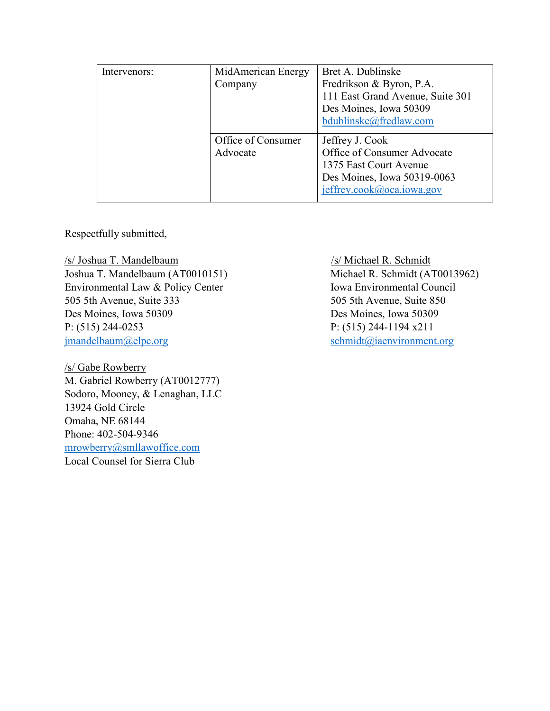| Intervenors: | MidAmerican Energy<br>Company  | Bret A. Dublinske<br>Fredrikson & Byron, P.A.<br>111 East Grand Avenue, Suite 301<br>Des Moines, Iowa 50309<br>bdublinske@fredlaw.com |
|--------------|--------------------------------|---------------------------------------------------------------------------------------------------------------------------------------|
|              | Office of Consumer<br>Advocate | Jeffrey J. Cook<br>Office of Consumer Advocate<br>1375 East Court Avenue<br>Des Moines, Iowa 50319-0063<br>jeffrey.cook@oca.iowa.gov  |

Respectfully submitted,

/s/ Joshua T. Mandelbaum /s/ Michael R. Schmidt Joshua T. Mandelbaum (AT0010151) Michael R. Schmidt (AT0013962) Environmental Law & Policy Center Iowa Environmental Council 505 5th Avenue, Suite 333 505 5th Avenue, Suite 850 Des Moines, Iowa 50309 Des Moines, Iowa 50309 P: (515) 244-0253 P: (515) 244-1194 x211 [jmandelbaum@elpc.org](mailto:jmandelbaum@elpc.org) [schmidt@iaenvironment.org](mailto:schmidt@iaenvironment.org)

/s/ Gabe Rowberry M. Gabriel Rowberry (AT0012777) Sodoro, Mooney, & Lenaghan, LLC 13924 Gold Circle Omaha, NE 68144 Phone: 402-504-9346 [mrowberry@smllawoffice.com](mailto:mrowberry@smllawoffice.com) Local Counsel for Sierra Club